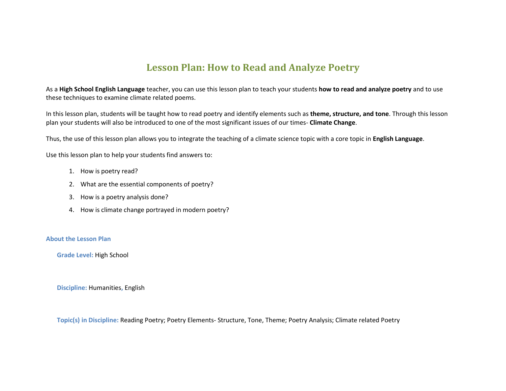### **Lesson Plan: How to Read and Analyze Poetry**

As a **High School English Language** teacher, you can use this lesson plan to teach your students **how to read and analyze poetry** and to use these techniques to examine climate related poems.

In this lesson plan, students will be taught how to read poetry and identify elements such as **theme, structure, and tone**. Through this lesson plan your students will also be introduced to one of the most significant issues of our times- **Climate Change**.

Thus, the use of this lesson plan allows you to integrate the teaching of a climate science topic with a core topic in **English Language**.

Use this lesson plan to help your students find answers to:

- 1. How is poetry read?
- 2. What are the essential components of poetry?
- 3. How is a poetry analysis done?
- 4. How is climate change portrayed in modern poetry?

#### **About the Lesson Plan**

**Grade Level:** High School

**Discipline:** Humanities**,** English

**Topic(s) in Discipline:** Reading Poetry; Poetry Elements- Structure, Tone, Theme; Poetry Analysis; Climate related Poetry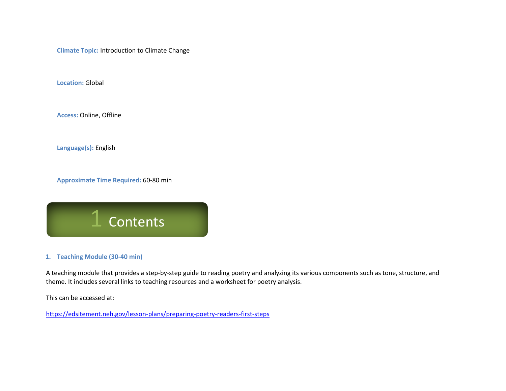**Climate Topic:** Introduction to Climate Change

**Location:** Global

**Access:** Online, Offline

**Language(s):** English

**Approximate Time Required:** 60-80 min



#### **1. Teaching Module (30-40 min)**

A teaching module that provides a step-by-step guide to reading poetry and analyzing its various components such as tone, structure, and theme. It includes several links to teaching resources and a worksheet for poetry analysis.

This can be accessed at:

<https://edsitement.neh.gov/lesson-plans/preparing-poetry-readers-first-steps>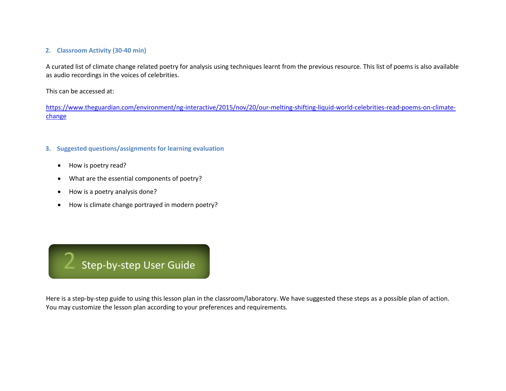#### **2. Classroom Activity (30-40 min)**

A curated list of climate change related poetry for analysis using techniques learnt from the previous resource. This list of poems is also available as audio recordings in the voices of celebrities.

This can be accessed at:

[https://www.theguardian.com/environment/ng-interactive/2015/nov/20/our-melting-shifting-liquid-world-celebrities-read-poems-on-climate](https://www.theguardian.com/environment/ng-interactive/2015/nov/20/our-melting-shifting-liquid-world-celebrities-read-poems-on-climate-change)[change](https://www.theguardian.com/environment/ng-interactive/2015/nov/20/our-melting-shifting-liquid-world-celebrities-read-poems-on-climate-change)

#### **3. Suggested questions/assignments for learning evaluation**

- How is poetry read?
- What are the essential components of poetry?
- How is a poetry analysis done?
- How is climate change portrayed in modern poetry?



Here is a step-by-step guide to using this lesson plan in the classroom/laboratory. We have suggested these steps as a possible plan of action. You may customize the lesson plan according to your preferences and requirements.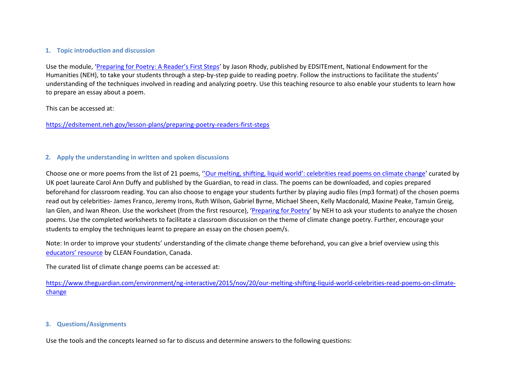#### **1. Topic introduction and discussion**

Use the module, ['Preparing for Poetry: A Reader's First Steps'](https://edsitement.neh.gov/lesson-plans/preparing-poetry-readers-first-steps) by Jason Rhody, published by EDSITEment, National Endowment for the Humanities (NEH), to take your students through a step-by-step guide to reading poetry. Follow the instructions to facilitate the students' understanding of the techniques involved in reading and analyzing poetry. Use this teaching resource to also enable your students to learn how to prepare an essay about a poem.

This can be accessed at:

<https://edsitement.neh.gov/lesson-plans/preparing-poetry-readers-first-steps>

#### **2. Apply the understanding in written and spoken discussions**

Choose one or more poems from the list of 21 poems, ''Our melting, shifting, liquid world'[: celebrities read poems on climate change](https://www.theguardian.com/environment/ng-interactive/2015/nov/20/our-melting-shifting-liquid-world-celebrities-read-poems-on-climate-change)' curated by UK poet laureate Carol Ann Duffy and published by the Guardian, to read in class. The poems can be downloaded, and copies prepared beforehand for classroom reading. You can also choose to engage your students further by playing audio files (mp3 format) of the chosen poems read out by celebrities- James Franco, Jeremy Irons, Ruth Wilson, Gabriel Byrne, Michael Sheen, Kelly Macdonald, Maxine Peake, Tamsin Greig, Ian Glen, and Iwan Rheon. Use the worksheet (from the first resource), '[Preparing for Poetry](https://edsitement.neh.gov/sites/default/files/2018-08/Preparing%20for%20Poetry_Reading%20a%20Poem%20Worksheet.pdf)' by NEH to ask your students to analyze the chosen poems. Use the completed worksheets to facilitate a classroom discussion on the theme of climate change poetry. Further, encourage your students to employ the techniques learnt to prepare an essay on the chosen poem/s.

Note: In order to improve your students' understanding of the climate change theme beforehand, you can give a brief overview using this [educators' resource](https://clean.ns.ca/programs/youth-engagement/talking-climate-change-with-kids/climate-change-background-info/parler-des-changements-climatiques-avec-les-enfants/) by CLEAN Foundation, Canada.

The curated list of climate change poems can be accessed at:

[https://www.theguardian.com/environment/ng-interactive/2015/nov/20/our-melting-shifting-liquid-world-celebrities-read-poems-on-climate](https://www.theguardian.com/environment/ng-interactive/2015/nov/20/our-melting-shifting-liquid-world-celebrities-read-poems-on-climate-change)[change](https://www.theguardian.com/environment/ng-interactive/2015/nov/20/our-melting-shifting-liquid-world-celebrities-read-poems-on-climate-change)

#### **3. Questions/Assignments**

Use the tools and the concepts learned so far to discuss and determine answers to the following questions: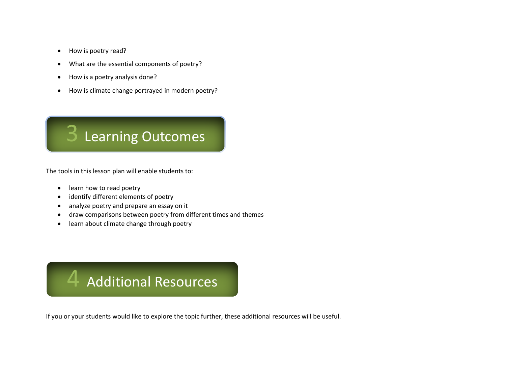- How is poetry read?
- What are the essential components of poetry?
- How is a poetry analysis done?
- How is climate change portrayed in modern poetry?



The tools in this lesson plan will enable students to:

- learn how to read poetry
- identify different elements of poetry
- analyze poetry and prepare an essay on it
- draw comparisons between poetry from different times and themes
- learn about climate change through poetry

## 4 Additional Resources

If you or your students would like to explore the topic further, these additional resources will be useful.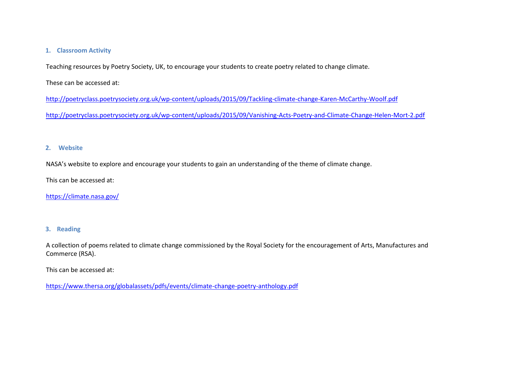#### **1. Classroom Activity**

Teaching resources by Poetry Society, UK, to encourage your students to create poetry related to change climate.

These can be accessed at:

<http://poetryclass.poetrysociety.org.uk/wp-content/uploads/2015/09/Tackling-climate-change-Karen-McCarthy-Woolf.pdf>

<http://poetryclass.poetrysociety.org.uk/wp-content/uploads/2015/09/Vanishing-Acts-Poetry-and-Climate-Change-Helen-Mort-2.pdf>

#### **2. Website**

NASA's website to explore and encourage your students to gain an understanding of the theme of climate change.

This can be accessed at:

<https://climate.nasa.gov/>

#### **3. Reading**

A collection of poems related to climate change commissioned by the Royal Society for the encouragement of Arts, Manufactures and Commerce (RSA).

This can be accessed at:

<https://www.thersa.org/globalassets/pdfs/events/climate-change-poetry-anthology.pdf>